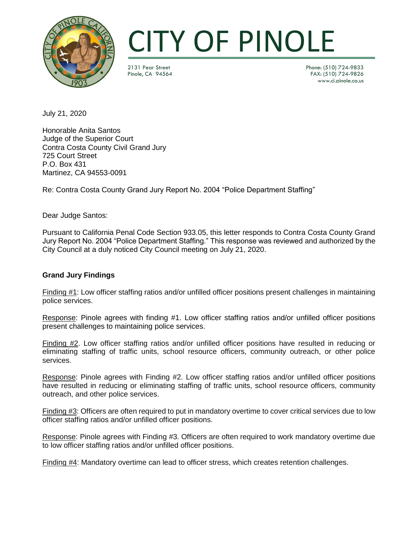

2131 Pear Street Phone: (510) 724-9833 FAX: (510) 724-9826 www.ci.pinole.ca.us

July 21, 2020

Honorable Anita Santos Judge of the Superior Court Contra Costa County Civil Grand Jury 725 Court Street P.O. Box 431 Martinez, CA 94553-0091

Re: Contra Costa County Grand Jury Report No. 2004 "Police Department Staffing"

Dear Judge Santos:

Pursuant to California Penal Code Section 933.05, this letter responds to Contra Costa County Grand Jury Report No. 2004 "Police Department Staffing." This response was reviewed and authorized by the City Council at a duly noticed City Council meeting on July 21, 2020.

### **Grand Jury Findings**

Finding #1: Low officer staffing ratios and/or unfilled officer positions present challenges in maintaining police services.

Response: Pinole agrees with finding #1. Low officer staffing ratios and/or unfilled officer positions present challenges to maintaining police services.

Finding #2. Low officer staffing ratios and/or unfilled officer positions have resulted in reducing or eliminating staffing of traffic units, school resource officers, community outreach, or other police services.

Response: Pinole agrees with Finding #2. Low officer staffing ratios and/or unfilled officer positions have resulted in reducing or eliminating staffing of traffic units, school resource officers, community outreach, and other police services.

Finding #3: Officers are often required to put in mandatory overtime to cover critical services due to low officer staffing ratios and/or unfilled officer positions.

Response: Pinole agrees with Finding #3. Officers are often required to work mandatory overtime due to low officer staffing ratios and/or unfilled officer positions.

Finding #4: Mandatory overtime can lead to officer stress, which creates retention challenges.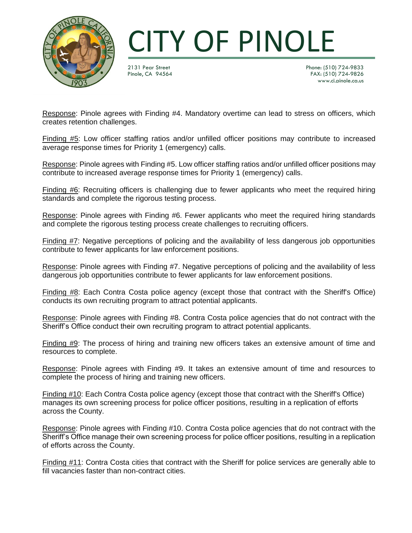

2131 Pear Street Phone: (510) 724-9833 FAX: (510) 724-9826 www.ci.pinole.ca.us

Response: Pinole agrees with Finding #4. Mandatory overtime can lead to stress on officers, which creates retention challenges.

Finding #5: Low officer staffing ratios and/or unfilled officer positions may contribute to increased average response times for Priority 1 (emergency) calls.

Response: Pinole agrees with Finding #5. Low officer staffing ratios and/or unfilled officer positions may contribute to increased average response times for Priority 1 (emergency) calls.

Finding #6: Recruiting officers is challenging due to fewer applicants who meet the required hiring standards and complete the rigorous testing process.

Response: Pinole agrees with Finding #6. Fewer applicants who meet the required hiring standards and complete the rigorous testing process create challenges to recruiting officers.

Finding #7: Negative perceptions of policing and the availability of less dangerous job opportunities contribute to fewer applicants for law enforcement positions.

Response: Pinole agrees with Finding #7. Negative perceptions of policing and the availability of less dangerous job opportunities contribute to fewer applicants for law enforcement positions.

Finding #8: Each Contra Costa police agency (except those that contract with the Sheriff's Office) conducts its own recruiting program to attract potential applicants.

Response: Pinole agrees with Finding #8. Contra Costa police agencies that do not contract with the Sheriff's Office conduct their own recruiting program to attract potential applicants.

Finding #9: The process of hiring and training new officers takes an extensive amount of time and resources to complete.

Response: Pinole agrees with Finding #9. It takes an extensive amount of time and resources to complete the process of hiring and training new officers.

Finding #10: Each Contra Costa police agency (except those that contract with the Sheriff's Office) manages its own screening process for police officer positions, resulting in a replication of efforts across the County.

Response: Pinole agrees with Finding #10. Contra Costa police agencies that do not contract with the Sheriff's Office manage their own screening process for police officer positions, resulting in a replication of efforts across the County.

Finding #11: Contra Costa cities that contract with the Sheriff for police services are generally able to fill vacancies faster than non-contract cities.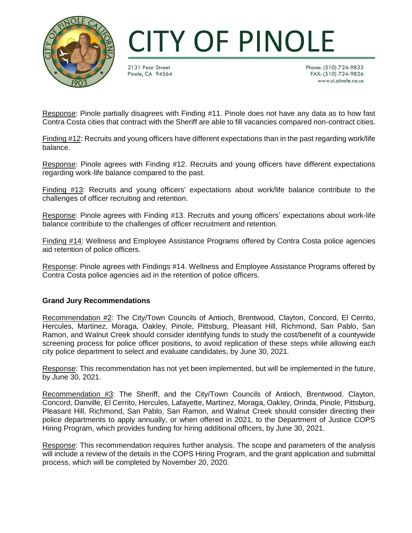

2131 Pear Street Phone: (510) 724-9833 FAX: (510) 724-9826 www.ci.pinole.ca.us

Response: Pinole partially disagrees with Finding #11. Pinole does not have any data as to how fast Contra Costa cities that contract with the Sheriff are able to fill vacancies compared non-contract cities.

Finding #12: Recruits and young officers have different expectations than in the past regarding work/life balance.

Response: Pinole agrees with Finding #12. Recruits and young officers have different expectations regarding work-life balance compared to the past.

Finding #13: Recruits and young officers' expectations about work/life balance contribute to the challenges of officer recruiting and retention.

Response: Pinole agrees with Finding #13. Recruits and young officers' expectations about work-life balance contribute to the challenges of officer recruitment and retention.

Finding #14: Wellness and Employee Assistance Programs offered by Contra Costa police agencies aid retention of police officers.

Response: Pinole agrees with Findings #14. Wellness and Employee Assistance Programs offered by Contra Costa police agencies aid in the retention of police officers.

### **Grand Jury Recommendations**

Recommendation #2: The City/Town Councils of Antioch, Brentwood, Clayton, Concord, El Cerrito, Hercules, Martinez, Moraga, Oakley, Pinole, Pittsburg, Pleasant Hill, Richmond, San Pablo, San Ramon, and Walnut Creek should consider identifying funds to study the cost/benefit of a countywide screening process for police officer positions, to avoid replication of these steps while allowing each city police department to select and evaluate candidates, by June 30, 2021.

Response: This recommendation has not yet been implemented, but will be implemented in the future, by June 30, 2021.

Recommendation #3: The Sheriff, and the City/Town Councils of Antioch, Brentwood, Clayton, Concord, Danville, El Cerrito, Hercules, Lafayette, Martinez, Moraga, Oakley, Orinda, Pinole, Pittsburg, Pleasant Hill, Richmond, San Pablo, San Ramon, and Walnut Creek should consider directing their police departments to apply annually, or when offered in 2021, to the Department of Justice COPS Hiring Program, which provides funding for hiring additional officers, by June 30, 2021.

Response: This recommendation requires further analysis. The scope and parameters of the analysis will include a review of the details in the COPS Hiring Program, and the grant application and submittal process, which will be completed by November 20, 2020.